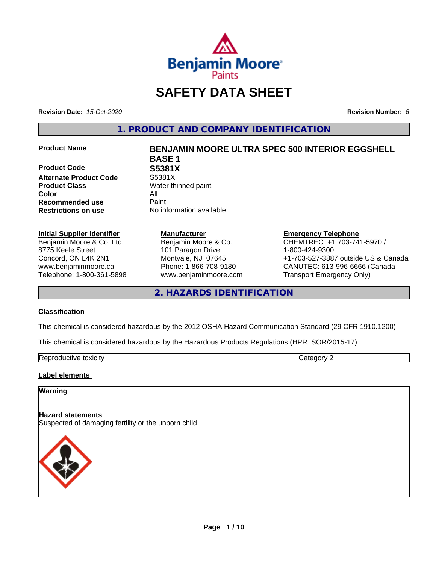

# **SAFETY DATA SHEET**

**Revision Date:** *15-Oct-2020* **Revision Number:** *6*

**1. PRODUCT AND COMPANY IDENTIFICATION**

**Product Code 61 S5381X**<br>Alternate Product Code 55381X **Alternate Product Code Product Class** Water thinned paint **Color** All **Recommended use** Paint **Restrictions on use** No information available

### **Initial Supplier Identifier**

Benjamin Moore & Co. Ltd. 8775 Keele Street Concord, ON L4K 2N1 www.benjaminmoore.ca Telephone: 1-800-361-5898

### **Product Name BENJAMIN MOORE ULTRA SPEC 500 INTERIOR EGGSHELL BASE 1**

**Manufacturer** Benjamin Moore & Co. 101 Paragon Drive Montvale, NJ 07645 Phone: 1-866-708-9180 www.benjaminmoore.com

### **Emergency Telephone**

CHEMTREC: +1 703-741-5970 / 1-800-424-9300 +1-703-527-3887 outside US & Canada CANUTEC: 613-996-6666 (Canada Transport Emergency Only)

**2. HAZARDS IDENTIFICATION**

### **Classification**

This chemical is considered hazardous by the 2012 OSHA Hazard Communication Standard (29 CFR 1910.1200)

This chemical is considered hazardous by the Hazardous Products Regulations (HPR: SOR/2015-17)

| Re <sub>l</sub><br>.JXICITV<br>. | . |
|----------------------------------|---|

### **Label elements**

### **Warning**

**Hazard statements**

Suspected of damaging fertility or the unborn child

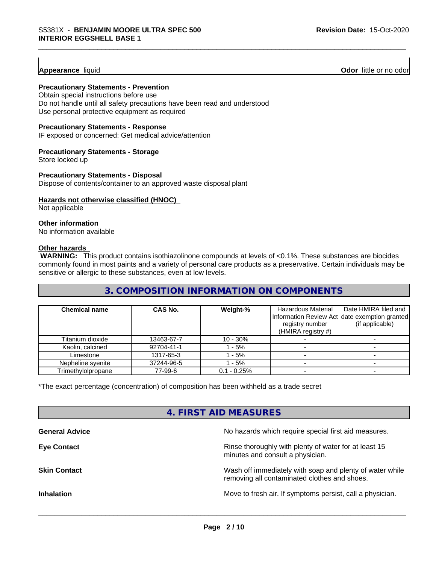**Appearance** liquid **Odor 11** Odor little or no odor

### **Precautionary Statements - Prevention**

Obtain special instructions before use Do not handle until all safety precautions have been read and understood Use personal protective equipment as required

### **Precautionary Statements - Response**

IF exposed or concerned: Get medical advice/attention

### **Precautionary Statements - Storage**

Store locked up

### **Precautionary Statements - Disposal**

Dispose of contents/container to an approved waste disposal plant

### **Hazards not otherwise classified (HNOC)**

Not applicable

### **Other information**

No information available

### **Other hazards**

 **WARNING:** This product contains isothiazolinone compounds at levels of <0.1%. These substances are biocides commonly found in most paints and a variety of personal care products as a preservative. Certain individuals may be sensitive or allergic to these substances, even at low levels.

### **3. COMPOSITION INFORMATION ON COMPONENTS**

| <b>Chemical name</b> | <b>CAS No.</b> | Weight-%      | Hazardous Material<br>registry number<br>(HMIRA registry $#$ ) | Date HMIRA filed and<br>Information Review Act date exemption granted<br>(if applicable) |
|----------------------|----------------|---------------|----------------------------------------------------------------|------------------------------------------------------------------------------------------|
| Titanium dioxide     | 13463-67-7     | $10 - 30%$    |                                                                |                                                                                          |
| Kaolin, calcined     | 92704-41-1     | $-5%$         |                                                                |                                                                                          |
| Limestone            | 1317-65-3      | $-5%$         |                                                                |                                                                                          |
| Nepheline svenite    | 37244-96-5     | $-5%$         |                                                                |                                                                                          |
| Trimethylolpropane   | 77-99-6        | $0.1 - 0.25%$ |                                                                |                                                                                          |

\*The exact percentage (concentration) of composition has been withheld as a trade secret

### **4. FIRST AID MEASURES**

| No hazards which require special first aid measures.                                                     |
|----------------------------------------------------------------------------------------------------------|
| Rinse thoroughly with plenty of water for at least 15<br>minutes and consult a physician.                |
| Wash off immediately with soap and plenty of water while<br>removing all contaminated clothes and shoes. |
| Move to fresh air. If symptoms persist, call a physician.                                                |
|                                                                                                          |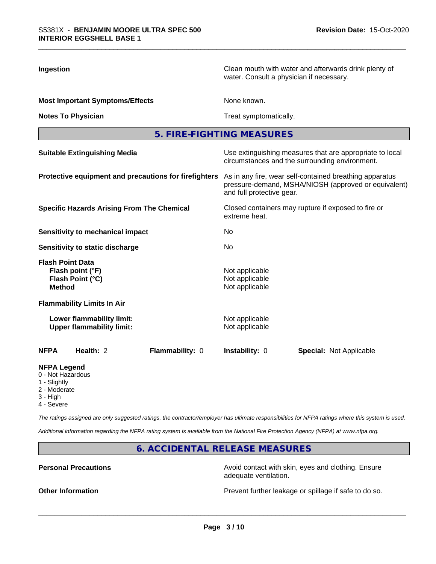| Ingestion                                                                        | Clean mouth with water and afterwards drink plenty of<br>water. Consult a physician if necessary.                                            |  |  |  |
|----------------------------------------------------------------------------------|----------------------------------------------------------------------------------------------------------------------------------------------|--|--|--|
| <b>Most Important Symptoms/Effects</b>                                           | None known.<br>Treat symptomatically.                                                                                                        |  |  |  |
| <b>Notes To Physician</b>                                                        |                                                                                                                                              |  |  |  |
|                                                                                  | 5. FIRE-FIGHTING MEASURES                                                                                                                    |  |  |  |
| <b>Suitable Extinguishing Media</b>                                              | Use extinguishing measures that are appropriate to local<br>circumstances and the surrounding environment.                                   |  |  |  |
| Protective equipment and precautions for firefighters                            | As in any fire, wear self-contained breathing apparatus<br>pressure-demand, MSHA/NIOSH (approved or equivalent)<br>and full protective gear. |  |  |  |
| <b>Specific Hazards Arising From The Chemical</b>                                | Closed containers may rupture if exposed to fire or<br>extreme heat.<br>No                                                                   |  |  |  |
| Sensitivity to mechanical impact                                                 |                                                                                                                                              |  |  |  |
| <b>Sensitivity to static discharge</b>                                           | No                                                                                                                                           |  |  |  |
| <b>Flash Point Data</b><br>Flash point (°F)<br>Flash Point (°C)<br><b>Method</b> | Not applicable<br>Not applicable<br>Not applicable                                                                                           |  |  |  |
| <b>Flammability Limits In Air</b>                                                |                                                                                                                                              |  |  |  |
| Lower flammability limit:<br><b>Upper flammability limit:</b>                    | Not applicable<br>Not applicable                                                                                                             |  |  |  |
| Health: 2<br>Flammability: 0<br>NFPA                                             | Instability: 0<br><b>Special: Not Applicable</b>                                                                                             |  |  |  |
| <b>NFPA Legend</b><br>0 - Not Hazardous<br>1 - Slightly                          |                                                                                                                                              |  |  |  |

- 
- 
- 2 Moderate
- 3 High
- 4 Severe

*The ratings assigned are only suggested ratings, the contractor/employer has ultimate responsibilities for NFPA ratings where this system is used.*

*Additional information regarding the NFPA rating system is available from the National Fire Protection Agency (NFPA) at www.nfpa.org.*

**6. ACCIDENTAL RELEASE MEASURES**

**Personal Precautions Precautions** Avoid contact with skin, eyes and clothing. Ensure adequate ventilation.

**Other Information Other Information Prevent further leakage or spillage if safe to do so.**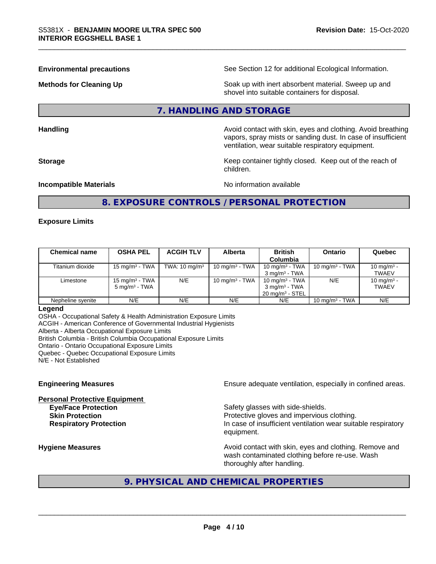**Environmental precautions** See Section 12 for additional Ecological Information.

**Methods for Cleaning Up Example 20 Soak** up with inert absorbent material. Sweep up and shovel into suitable containers for disposal.

### **7. HANDLING AND STORAGE**

**Handling Handling Avoid contact with skin, eyes and clothing. Avoid breathing H** 

vapors, spray mists or sanding dust. In case of insufficient ventilation, wear suitable respiratory equipment. **Storage Keep container tightly closed. Keep out of the reach of Keep** container tightly closed. Keep out of the reach of

**Incompatible Materials Incompatible Materials** 

# **8. EXPOSURE CONTROLS / PERSONAL PROTECTION**

children.

### **Exposure Limits**

| <b>Chemical name</b> | <b>OSHA PEL</b>                                        | <b>ACGIH TLV</b>         | <b>Alberta</b>    | <b>British</b><br>Columbia                                                  | <b>Ontario</b>    | Quebec                                 |
|----------------------|--------------------------------------------------------|--------------------------|-------------------|-----------------------------------------------------------------------------|-------------------|----------------------------------------|
| Titanium dioxide     | 15 mg/m $3$ - TWA                                      | TWA: $10 \text{ mg/m}^3$ | 10 mg/m $3$ - TWA | 10 mg/m $3$ - TWA<br>$3 \text{ ma/m}^3$ - TWA                               | 10 mg/m $3$ - TWA | 10 mg/m <sup>3</sup> -<br><b>TWAEV</b> |
| Limestone            | 15 mg/m <sup>3</sup> - TWA<br>$5 \text{ mg/m}^3$ - TWA | N/E                      | 10 mg/m $3$ - TWA | 10 mg/m $3$ - TWA<br>$3 \text{ mg/m}^3$ - TWA<br>$20 \text{ mg/m}^3$ - STEL | N/E               | 10 mg/m <sup>3</sup> -<br><b>TWAEV</b> |
| Nepheline svenite    | N/E                                                    | N/E                      | N/E               | N/E                                                                         | 10 mg/m $3$ - TWA | N/E                                    |

### **Legend**

OSHA - Occupational Safety & Health Administration Exposure Limits ACGIH - American Conference of Governmental Industrial Hygienists Alberta - Alberta Occupational Exposure Limits British Columbia - British Columbia Occupational Exposure Limits Ontario - Ontario Occupational Exposure Limits Quebec - Quebec Occupational Exposure Limits N/E - Not Established

# **Personal Protective Equipment Eye/Face Protection Safety glasses with side-shields.**

**Engineering Measures Ensure** Ensure adequate ventilation, especially in confined areas.

**Skin Protection Protection Protective gloves and impervious clothing. Respiratory Protection In case of insufficient ventilation wear suitable respiratory** equipment.

**Hygiene Measures Avoid contact with skin, eyes and clothing. Remove and Avoid contact with skin, eyes and clothing. Remove and Avoid contact with skin, eyes and clothing. Remove and** wash contaminated clothing before re-use. Wash thoroughly after handling.

# **9. PHYSICAL AND CHEMICAL PROPERTIES**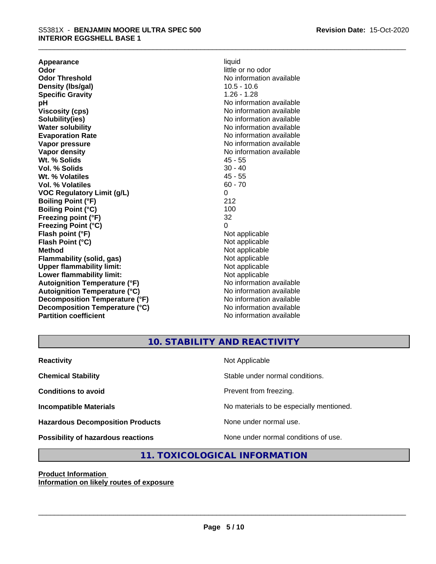**Appearance** liquid **and a limitation of the contract of the contract of the contract of the contract of the contract of the contract of the contract of the contract of the contract of the contract of the contract of the c Odor Odor** little or no odor<br> **Odor Threshold CODOR CODOR CODOR CODOR CODOR CODOR CODOR CODOR CODOR CODOR CODOR CODOR CODOR CODOR CODOR CODOR CODOR CODOR CODOR CODOR CODOR COD Density (lbs/gal)** 10.5 - 10.6 **Specific Gravity** 1.26 - 1.28 **pH pH**  $\blacksquare$ **Viscosity (cps)** No information available **Solubility(ies)** No information available in the solution of the solution of the solution available in the solution of the solution of the solution of the solution of the solution of the solution of the solution of the so **Water solubility** No information available **Evaporation Rate No information available No information available Vapor pressure** No information available **Vapor density No information available No** information available **Wt. % Solids** 45 - 55 **Vol. % Solids** 30 - 40<br> **Wt. % Volatiles** 30 - 40 Wt. % Volatiles **Vol. % Volatiles** 60 - 70 **VOC Regulatory Limit (g/L)** 0 **Boiling Point (°F)** 212 **Boiling Point (°C)** 100<br> **Preezing point (°F)** 32 **Freezing point (°F) Freezing Point (°C)** 0 **Flash point (°F)** Not applicable **Flash Point (°C)** Not applicable **Method**<br> **Flammability (solid, gas)**<br> **Commability (solid, gas)**<br> **Not** applicable **Flammability (solid, gas)**<br> **Upper flammability limit:**<br>
Upper flammability limit:<br>  $\begin{array}{ccc}\n\bullet & \bullet & \bullet \\
\bullet & \bullet & \bullet\n\end{array}$ **Upper flammability limit:**<br> **Lower flammability limit:**<br>
Not applicable<br>
Not applicable **Lower flammability limit:**<br> **Autoignition Temperature (°F)** Not applicable Not applicable not a Not applicable **Autoignition Temperature (°F) Autoignition Temperature (°C)** No information available **Decomposition Temperature (°F)** No information available **Decomposition Temperature (°C)** No information available **Partition coefficient** No information available

# **No information available**

### **10. STABILITY AND REACTIVITY**

| <b>Reactivity</b>                         | Not Applicable                           |
|-------------------------------------------|------------------------------------------|
| <b>Chemical Stability</b>                 | Stable under normal conditions.          |
| <b>Conditions to avoid</b>                | Prevent from freezing.                   |
| <b>Incompatible Materials</b>             | No materials to be especially mentioned. |
| <b>Hazardous Decomposition Products</b>   | None under normal use.                   |
| <b>Possibility of hazardous reactions</b> | None under normal conditions of use.     |

# **11. TOXICOLOGICAL INFORMATION**

**Product Information Information on likely routes of exposure**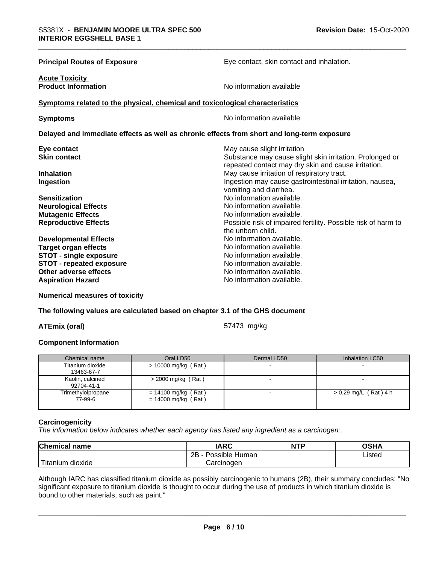| <b>Principal Routes of Exposure</b>                                                        | Eye contact, skin contact and inhalation.                                          |
|--------------------------------------------------------------------------------------------|------------------------------------------------------------------------------------|
| <b>Acute Toxicity</b><br><b>Product Information</b>                                        | No information available                                                           |
| Symptoms related to the physical, chemical and toxicological characteristics               |                                                                                    |
| <b>Symptoms</b>                                                                            | No information available                                                           |
| Delayed and immediate effects as well as chronic effects from short and long-term exposure |                                                                                    |
| Eye contact                                                                                | May cause slight irritation                                                        |
| <b>Skin contact</b>                                                                        | Substance may cause slight skin irritation. Prolonged or                           |
|                                                                                            | repeated contact may dry skin and cause irritation.                                |
| <b>Inhalation</b>                                                                          | May cause irritation of respiratory tract.                                         |
| Ingestion                                                                                  | Ingestion may cause gastrointestinal irritation, nausea,<br>vomiting and diarrhea. |
| <b>Sensitization</b>                                                                       | No information available.                                                          |
| <b>Neurological Effects</b>                                                                | No information available.                                                          |
| <b>Mutagenic Effects</b>                                                                   | No information available.                                                          |
| <b>Reproductive Effects</b>                                                                | Possible risk of impaired fertility. Possible risk of harm to                      |
|                                                                                            | the unborn child.                                                                  |
| <b>Developmental Effects</b>                                                               | No information available.                                                          |
| <b>Target organ effects</b>                                                                | No information available.                                                          |
| <b>STOT - single exposure</b>                                                              | No information available.                                                          |
| <b>STOT - repeated exposure</b>                                                            | No information available.                                                          |
| Other adverse effects                                                                      | No information available.                                                          |
| <b>Aspiration Hazard</b>                                                                   | No information available.                                                          |

**Numerical measures of toxicity**

### **The following values are calculated based on chapter 3.1 of the GHS document**

**ATEmix (oral)** 57473 mg/kg

### **Component Information**

| Chemical name                  | Oral LD50                                      | Dermal LD50 | Inhalation LC50         |
|--------------------------------|------------------------------------------------|-------------|-------------------------|
| Titanium dioxide<br>13463-67-7 | $>$ 10000 mg/kg (Rat)                          |             |                         |
| Kaolin, calcined<br>92704-41-1 | $>$ 2000 mg/kg (Rat)                           |             |                         |
| Trimethylolpropane<br>77-99-6  | $= 14100$ mg/kg (Rat)<br>$= 14000$ mg/kg (Rat) |             | $> 0.29$ mg/L (Rat) 4 h |

### **Carcinogenicity**

*The information below indicateswhether each agency has listed any ingredient as a carcinogen:.*

| <b>Chemical name</b>                | <b>IARC</b>                    | <b>NTP</b> | <b>OSHA</b> |
|-------------------------------------|--------------------------------|------------|-------------|
|                                     | .<br>2B<br>: Human<br>Possible |            | Listed      |
| $-1$<br>, dioxide<br><b>itanium</b> | Carcinoɑen                     |            |             |

Although IARC has classified titanium dioxide as possibly carcinogenic to humans (2B), their summary concludes: "No significant exposure to titanium dioxide is thought to occur during the use of products in which titanium dioxide is bound to other materials, such as paint."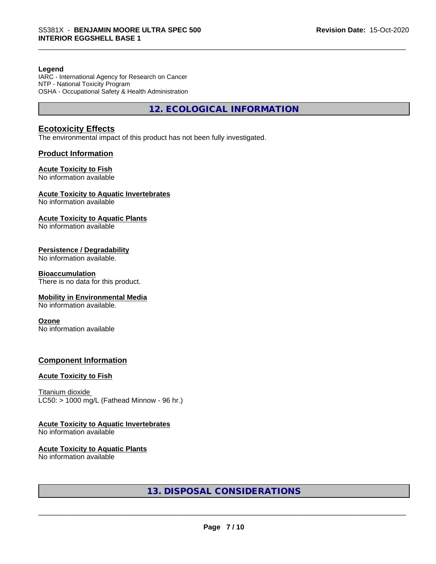### **Legend**

IARC - International Agency for Research on Cancer NTP - National Toxicity Program OSHA - Occupational Safety & Health Administration

**12. ECOLOGICAL INFORMATION**

### **Ecotoxicity Effects**

The environmental impact of this product has not been fully investigated.

### **Product Information**

### **Acute Toxicity to Fish**

No information available

### **Acute Toxicity to Aquatic Invertebrates**

No information available

### **Acute Toxicity to Aquatic Plants**

No information available

### **Persistence / Degradability**

No information available.

### **Bioaccumulation**

There is no data for this product.

### **Mobility in Environmental Media**

No information available.

### **Ozone**

No information available

### **Component Information**

### **Acute Toxicity to Fish**

Titanium dioxide  $LC50:$  > 1000 mg/L (Fathead Minnow - 96 hr.)

### **Acute Toxicity to Aquatic Invertebrates**

No information available

### **Acute Toxicity to Aquatic Plants**

No information available

### **13. DISPOSAL CONSIDERATIONS**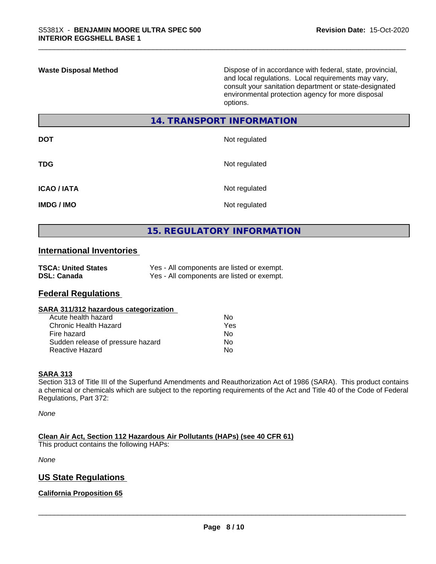**Waste Disposal Method** Dispose of in accordance with federal, state, provincial, and local regulations. Local requirements may vary, consult your sanitation department or state-designated environmental protection agency for more disposal options.

### **14. TRANSPORT INFORMATION**

| <b>DOT</b>         | Not regulated |
|--------------------|---------------|
| <b>TDG</b>         | Not regulated |
| <b>ICAO / IATA</b> | Not regulated |
| <b>IMDG / IMO</b>  | Not regulated |

# **15. REGULATORY INFORMATION**

### **International Inventories**

| <b>TSCA: United States</b> | Yes - All components are listed or exempt. |
|----------------------------|--------------------------------------------|
| <b>DSL: Canada</b>         | Yes - All components are listed or exempt. |

### **Federal Regulations**

### **SARA 311/312 hazardous categorization**

| Acute health hazard               | Nο  |  |
|-----------------------------------|-----|--|
| Chronic Health Hazard             | Yes |  |
| Fire hazard                       | Nο  |  |
| Sudden release of pressure hazard | Nο  |  |
| Reactive Hazard                   | N٥  |  |

### **SARA 313**

Section 313 of Title III of the Superfund Amendments and Reauthorization Act of 1986 (SARA). This product contains a chemical or chemicals which are subject to the reporting requirements of the Act and Title 40 of the Code of Federal Regulations, Part 372:

*None*

**Clean Air Act,Section 112 Hazardous Air Pollutants (HAPs) (see 40 CFR 61)**

This product contains the following HAPs:

*None*

### **US State Regulations**

### **California Proposition 65**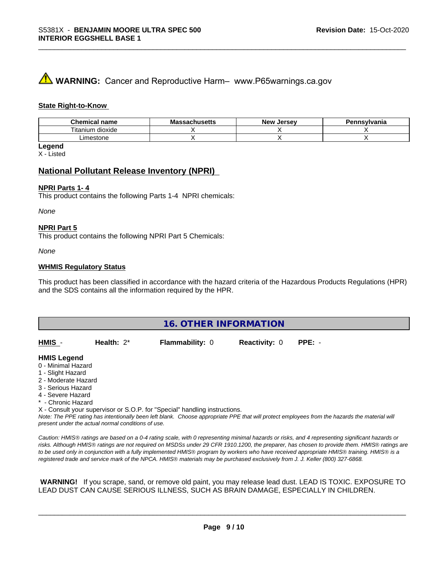# **A** WARNING: Cancer and Reproductive Harm– www.P65warnings.ca.gov

### **State Right-to-Know**

| Chemical<br>name      | - -<br>ма<br>.chcatta<br>-atiluscus | Jersev<br>Nev | ennsvlvania |
|-----------------------|-------------------------------------|---------------|-------------|
| ⊦dioxide<br>l itanium |                                     |               |             |
| Limestone             |                                     |               |             |

**Legend**

X - Listed

### **National Pollutant Release Inventory (NPRI)**

### **NPRI Parts 1- 4**

This product contains the following Parts 1-4 NPRI chemicals:

*None*

### **NPRI Part 5**

This product contains the following NPRI Part 5 Chemicals:

*None*

### **WHMIS Regulatory Status**

This product has been classified in accordance with the hazard criteria of the Hazardous Products Regulations (HPR) and the SDS contains all the information required by the HPR.

| 16. OTHER INFORMATION                                                                                                                                                                                       |               |                                                                            |                      |                                                                                                                                               |  |  |
|-------------------------------------------------------------------------------------------------------------------------------------------------------------------------------------------------------------|---------------|----------------------------------------------------------------------------|----------------------|-----------------------------------------------------------------------------------------------------------------------------------------------|--|--|
| HMIS -                                                                                                                                                                                                      | Health: $2^*$ | <b>Flammability: 0</b>                                                     | <b>Reactivity: 0</b> | $PPE: -$                                                                                                                                      |  |  |
| <b>HMIS Legend</b><br>0 - Minimal Hazard<br>1 - Slight Hazard<br>2 - Moderate Hazard<br>3 - Serious Hazard<br>4 - Severe Hazard<br>* - Chronic Hazard<br>present under the actual normal conditions of use. |               | X - Consult your supervisor or S.O.P. for "Special" handling instructions. |                      | Note: The PPE rating has intentionally been left blank. Choose appropriate PPE that will protect employees from the hazards the material will |  |  |

*Caution: HMISÒ ratings are based on a 0-4 rating scale, with 0 representing minimal hazards or risks, and 4 representing significant hazards or risks. Although HMISÒ ratings are not required on MSDSs under 29 CFR 1910.1200, the preparer, has chosen to provide them. HMISÒ ratings are to be used only in conjunction with a fully implemented HMISÒ program by workers who have received appropriate HMISÒ training. HMISÒ is a registered trade and service mark of the NPCA. HMISÒ materials may be purchased exclusively from J. J. Keller (800) 327-6868.*

 **WARNING!** If you scrape, sand, or remove old paint, you may release lead dust. LEAD IS TOXIC. EXPOSURE TO LEAD DUST CAN CAUSE SERIOUS ILLNESS, SUCH AS BRAIN DAMAGE, ESPECIALLY IN CHILDREN.